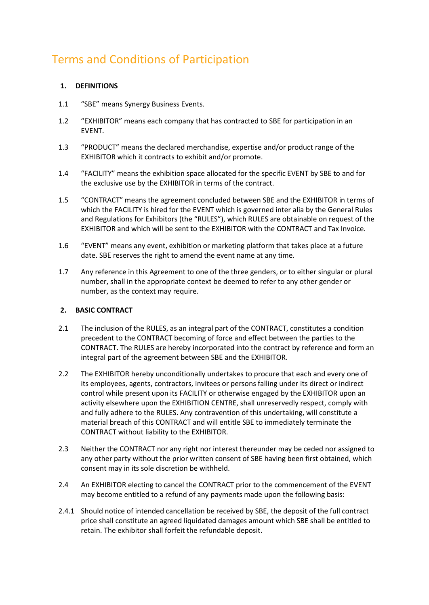# Terms and Conditions of Participation

## **1. DEFINITIONS**

- 1.1 "SBE" means Synergy Business Events.
- 1.2 "EXHIBITOR" means each company that has contracted to SBE for participation in an EVENT.
- 1.3 "PRODUCT" means the declared merchandise, expertise and/or product range of the EXHIBITOR which it contracts to exhibit and/or promote.
- 1.4 "FACILITY" means the exhibition space allocated for the specific EVENT by SBE to and for the exclusive use by the EXHIBITOR in terms of the contract.
- 1.5 "CONTRACT" means the agreement concluded between SBE and the EXHIBITOR in terms of which the FACILITY is hired for the EVENT which is governed inter alia by the General Rules and Regulations for Exhibitors (the "RULES"), which RULES are obtainable on request of the EXHIBITOR and which will be sent to the EXHIBITOR with the CONTRACT and Tax Invoice.
- 1.6 "EVENT" means any event, exhibition or marketing platform that takes place at a future date. SBE reserves the right to amend the event name at any time.
- 1.7 Any reference in this Agreement to one of the three genders, or to either singular or plural number, shall in the appropriate context be deemed to refer to any other gender or number, as the context may require.

### **2. BASIC CONTRACT**

- 2.1 The inclusion of the RULES, as an integral part of the CONTRACT, constitutes a condition precedent to the CONTRACT becoming of force and effect between the parties to the CONTRACT. The RULES are hereby incorporated into the contract by reference and form an integral part of the agreement between SBE and the EXHIBITOR.
- 2.2 The EXHIBITOR hereby unconditionally undertakes to procure that each and every one of its employees, agents, contractors, invitees or persons falling under its direct or indirect control while present upon its FACILITY or otherwise engaged by the EXHIBITOR upon an activity elsewhere upon the EXHIBITION CENTRE, shall unreservedly respect, comply with and fully adhere to the RULES. Any contravention of this undertaking, will constitute a material breach of this CONTRACT and will entitle SBE to immediately terminate the CONTRACT without liability to the EXHIBITOR.
- 2.3 Neither the CONTRACT nor any right nor interest thereunder may be ceded nor assigned to any other party without the prior written consent of SBE having been first obtained, which consent may in its sole discretion be withheld.
- 2.4 An EXHIBITOR electing to cancel the CONTRACT prior to the commencement of the EVENT may become entitled to a refund of any payments made upon the following basis:
- 2.4.1 Should notice of intended cancellation be received by SBE, the deposit of the full contract price shall constitute an agreed liquidated damages amount which SBE shall be entitled to retain. The exhibitor shall forfeit the refundable deposit.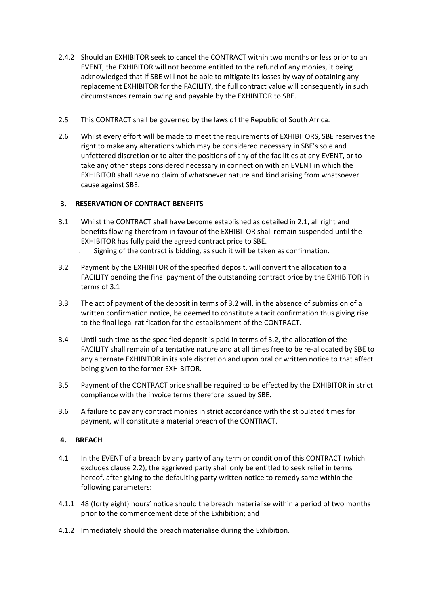- 2.4.2 Should an EXHIBITOR seek to cancel the CONTRACT within two months or less prior to an EVENT, the EXHIBITOR will not become entitled to the refund of any monies, it being acknowledged that if SBE will not be able to mitigate its losses by way of obtaining any replacement EXHIBITOR for the FACILITY, the full contract value will consequently in such circumstances remain owing and payable by the EXHIBITOR to SBE.
- 2.5 This CONTRACT shall be governed by the laws of the Republic of South Africa.
- 2.6 Whilst every effort will be made to meet the requirements of EXHIBITORS, SBE reserves the right to make any alterations which may be considered necessary in SBE's sole and unfettered discretion or to alter the positions of any of the facilities at any EVENT, or to take any other steps considered necessary in connection with an EVENT in which the EXHIBITOR shall have no claim of whatsoever nature and kind arising from whatsoever cause against SBE.

## **3. RESERVATION OF CONTRACT BENEFITS**

- 3.1 Whilst the CONTRACT shall have become established as detailed in 2.1, all right and benefits flowing therefrom in favour of the EXHIBITOR shall remain suspended until the EXHIBITOR has fully paid the agreed contract price to SBE.
	- I. Signing of the contract is bidding, as such it will be taken as confirmation.
- 3.2 Payment by the EXHIBITOR of the specified deposit, will convert the allocation to a FACILITY pending the final payment of the outstanding contract price by the EXHIBITOR in terms of 3.1
- 3.3 The act of payment of the deposit in terms of 3.2 will, in the absence of submission of a written confirmation notice, be deemed to constitute a tacit confirmation thus giving rise to the final legal ratification for the establishment of the CONTRACT.
- 3.4 Until such time as the specified deposit is paid in terms of 3.2, the allocation of the FACILITY shall remain of a tentative nature and at all times free to be re-allocated by SBE to any alternate EXHIBITOR in its sole discretion and upon oral or written notice to that affect being given to the former EXHIBITOR.
- 3.5 Payment of the CONTRACT price shall be required to be effected by the EXHIBITOR in strict compliance with the invoice terms therefore issued by SBE.
- 3.6 A failure to pay any contract monies in strict accordance with the stipulated times for payment, will constitute a material breach of the CONTRACT.

### **4. BREACH**

- 4.1 In the EVENT of a breach by any party of any term or condition of this CONTRACT (which excludes clause 2.2), the aggrieved party shall only be entitled to seek relief in terms hereof, after giving to the defaulting party written notice to remedy same within the following parameters:
- 4.1.1 48 (forty eight) hours' notice should the breach materialise within a period of two months prior to the commencement date of the Exhibition; and
- 4.1.2 Immediately should the breach materialise during the Exhibition.